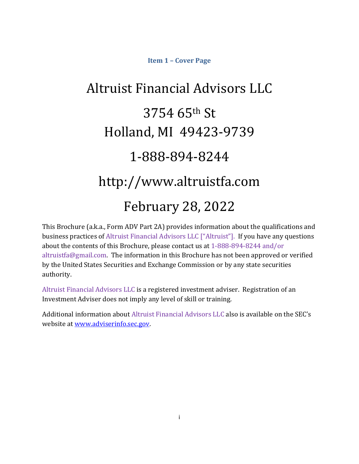# **Item 1 – Cover Page**

# Altruist Financial Advisors LLC 3754 65th St Holland, MI 49423-9739 1-888-894-8244 http://www.altruistfa.com February 28, 2022

This Brochure (a.k.a., Form ADV Part 2A) provides information about the qualifications and business practices of Altruist Financial Advisors LLC ["Altruist"]. If you have any questions about the contents of this Brochure, please contact us at 1-888-894-8244 and/or altruistfa@gmail.com. The information in this Brochure has not been approved or verified by the United States Securities and Exchange Commission or by any state securities authority.

Altruist Financial Advisors LLC is a registered investment adviser. Registration of an Investment Adviser does not imply any level of skill or training.

Additional information about Altruist Financial Advisors LLC also is available on the SEC's website at www.adviserinfo.sec.gov.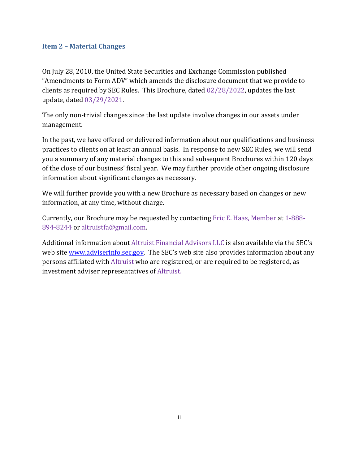## **Item 2 – Material Changes**

On July 28, 2010, the United State Securities and Exchange Commission published "Amendments to Form ADV" which amends the disclosure document that we provide to clients as required by SEC Rules. This Brochure, dated 02/28/2022, updates the last update, dated 03/29/2021.

The only non-trivial changes since the last update involve changes in our assets under management.

In the past, we have offered or delivered information about our qualifications and business practices to clients on at least an annual basis. In response to new SEC Rules, we will send you a summary of any material changes to this and subsequent Brochures within 120 days of the close of our business' fiscal year. We may further provide other ongoing disclosure information about significant changes as necessary.

We will further provide you with a new Brochure as necessary based on changes or new information, at any time, without charge.

Currently, our Brochure may be requested by contacting Eric E. Haas, Member at 1-888- 894-8244 or altruistfa@gmail.com.

Additional information about Altruist Financial Advisors LLC is also available via the SEC's web site www.adviserinfo.sec.gov. The SEC's web site also provides information about any persons affiliated with Altruist who are registered, or are required to be registered, as investment adviser representatives of Altruist.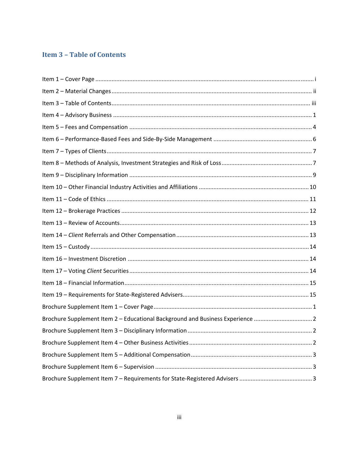# **Item 3 - Table of Contents**

| Brochure Supplement Item 2 - Educational Background and Business Experience 2 |
|-------------------------------------------------------------------------------|
|                                                                               |
|                                                                               |
|                                                                               |
|                                                                               |
|                                                                               |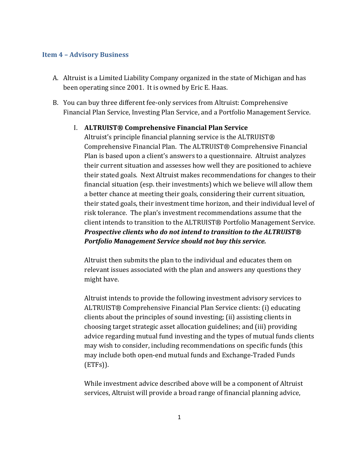#### **Item 4 – Advisory Business**

- A. Altruist is a Limited Liability Company organized in the state of Michigan and has been operating since 2001. It is owned by Eric E. Haas.
- B. You can buy three different fee-only services from Altruist: Comprehensive Financial Plan Service, Investing Plan Service, and a Portfolio Management Service.

## I. **ALTRUIST® Comprehensive Financial Plan Service**

Altruist's principle financial planning service is the ALTRUIST® Comprehensive Financial Plan. The ALTRUIST® Comprehensive Financial Plan is based upon a client's answers to a questionnaire. Altruist analyzes their current situation and assesses how well they are positioned to achieve their stated goals. Next Altruist makes recommendations for changes to their financial situation (esp. their investments) which we believe will allow them a better chance at meeting their goals, considering their current situation, their stated goals, their investment time horizon, and their individual level of risk tolerance. The plan's investment recommendations assume that the client intends to transition to the ALTRUIST® Portfolio Management Service. *Prospective clients who do not intend to transition to the ALTRUIST® Portfolio Management Service should not buy this service.*

Altruist then submits the plan to the individual and educates them on relevant issues associated with the plan and answers any questions they might have.

Altruist intends to provide the following investment advisory services to ALTRUIST® Comprehensive Financial Plan Service clients: (i) educating clients about the principles of sound investing; (ii) assisting clients in choosing target strategic asset allocation guidelines; and (iii) providing advice regarding mutual fund investing and the types of mutual funds clients may wish to consider, including recommendations on specific funds (this may include both open-end mutual funds and Exchange-Traded Funds (ETFs)).

While investment advice described above will be a component of Altruist services, Altruist will provide a broad range of financial planning advice,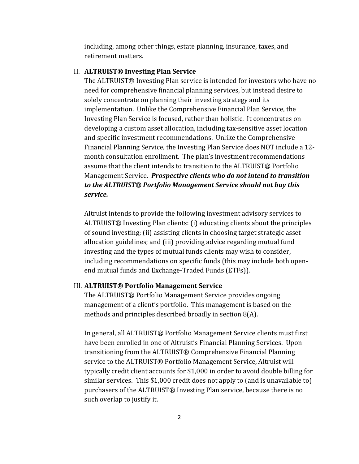including, among other things, estate planning, insurance, taxes, and retirement matters.

#### II. **ALTRUIST® Investing Plan Service**

The ALTRUIST® Investing Plan service is intended for investors who have no need for comprehensive financial planning services, but instead desire to solely concentrate on planning their investing strategy and its implementation. Unlike the Comprehensive Financial Plan Service, the Investing Plan Service is focused, rather than holistic. It concentrates on developing a custom asset allocation, including tax-sensitive asset location and specific investment recommendations. Unlike the Comprehensive Financial Planning Service, the Investing Plan Service does NOT include a 12 month consultation enrollment. The plan's investment recommendations assume that the client intends to transition to the ALTRUIST® Portfolio Management Service. *Prospective clients who do not intend to transition to the ALTRUIST® Portfolio Management Service should not buy this service.*

Altruist intends to provide the following investment advisory services to ALTRUIST® Investing Plan clients: (i) educating clients about the principles of sound investing; (ii) assisting clients in choosing target strategic asset allocation guidelines; and (iii) providing advice regarding mutual fund investing and the types of mutual funds clients may wish to consider, including recommendations on specific funds (this may include both openend mutual funds and Exchange-Traded Funds (ETFs)).

#### III. **ALTRUIST® Portfolio Management Service**

The ALTRUIST® Portfolio Management Service provides ongoing management of a client's portfolio. This management is based on the methods and principles described broadly in section 8(A).

In general, all ALTRUIST® Portfolio Management Service clients must first have been enrolled in one of Altruist's Financial Planning Services. Upon transitioning from the ALTRUIST® Comprehensive Financial Planning service to the ALTRUIST® Portfolio Management Service, Altruist will typically credit client accounts for \$1,000 in order to avoid double billing for similar services. This \$1,000 credit does not apply to (and is unavailable to) purchasers of the ALTRUIST® Investing Plan service, because there is no such overlap to justify it.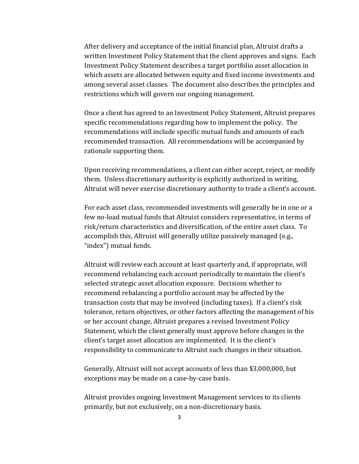After delivery and acceptance of the initial financial plan, Altruist drafts a written Investment Policy Statement that the client approves and signs. Each Investment Policy Statement describes a target portfolio asset allocation in which assets are allocated between equity and fixed income investments and among several asset classes. The document also describes the principles and restrictions which will govern our ongoing management.

Once a client has agreed to an Investment Policy Statement, Altruist prepares specific recommendations regarding how to implement the policy. The recommendations will include specific mutual funds and amounts of each recommended transaction. All recommendations will be accompanied by rationale supporting them.

Upon receiving recommendations, a client can either accept, reject, or modify them. Unless discretionary authority is explicitly authorized in writing, Altruist will never exercise discretionary authority to trade a client's account.

For each asset class, recommended investments will generally be in one or a few no-load mutual funds that Altruist considers representative, in terms of risk/return characteristics and diversification, of the entire asset class. To accomplish this, Altruist will generally utilize passively managed (e.g., "index") mutual funds.

Altruist will review each account at least quarterly and, if appropriate, will recommend rebalancing each account periodically to maintain the client's selected strategic asset allocation exposure. Decisions whether to recommend rebalancing a portfolio account may be affected by the transaction costs that may be involved (including taxes). If a client's risk tolerance, return objectives, or other factors affecting the management of his or her account change, Altruist prepares a revised Investment Policy Statement, which the client generally must approve before changes in the client's target asset allocation are implemented. It is the client's responsibility to communicate to Altruist such changes in their situation.

Generally, Altruist will not accept accounts of less than \$3,000,000, but exceptions may be made on a case-by-case basis.

Altruist provides ongoing Investment Management services to its clients primarily, but not exclusively, on a non-discretionary basis.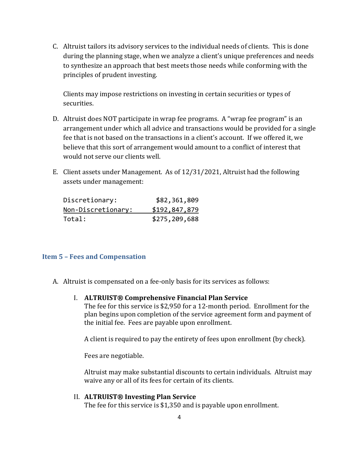C. Altruist tailors its advisory services to the individual needs of clients. This is done during the planning stage, when we analyze a client's unique preferences and needs to synthesize an approach that best meets those needs while conforming with the principles of prudent investing.

Clients may impose restrictions on investing in certain securities or types of securities.

- D. Altruist does NOT participate in wrap fee programs. A "wrap fee program" is an arrangement under which all advice and transactions would be provided for a single fee that is not based on the transactions in a client's account. If we offered it, we believe that this sort of arrangement would amount to a conflict of interest that would not serve our clients well.
- E. Client assets under Management. As of 12/31/2021, Altruist had the following assets under management:

| Discretionary:     | \$82,361,809  |
|--------------------|---------------|
| Non-Discretionary: | \$192,847,879 |
| Total:             | \$275,209,688 |

## **Item 5 – Fees and Compensation**

- A. Altruist is compensated on a fee-only basis for its services as follows:
	- I. **ALTRUIST® Comprehensive Financial Plan Service** The fee for this service is \$2,950 for a 12-month period. Enrollment for the plan begins upon completion of the service agreement form and payment of the initial fee. Fees are payable upon enrollment.

A client is required to pay the entirety of fees upon enrollment (by check).

Fees are negotiable.

Altruist may make substantial discounts to certain individuals. Altruist may waive any or all of its fees for certain of its clients.

II. **ALTRUIST® Investing Plan Service** The fee for this service is \$1,350 and is payable upon enrollment.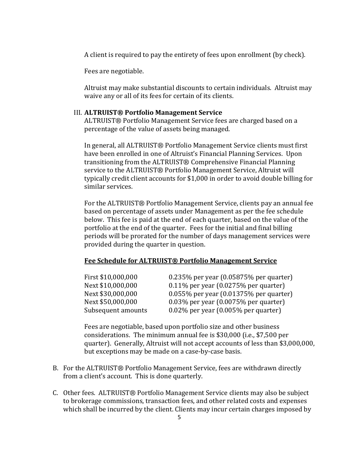A client is required to pay the entirety of fees upon enrollment (by check).

Fees are negotiable.

Altruist may make substantial discounts to certain individuals. Altruist may waive any or all of its fees for certain of its clients.

### III. **ALTRUIST® Portfolio Management Service**

ALTRUIST® Portfolio Management Service fees are charged based on a percentage of the value of assets being managed.

In general, all ALTRUIST® Portfolio Management Service clients must first have been enrolled in one of Altruist's Financial Planning Services. Upon transitioning from the ALTRUIST® Comprehensive Financial Planning service to the ALTRUIST® Portfolio Management Service, Altruist will typically credit client accounts for \$1,000 in order to avoid double billing for similar services.

For the ALTRUIST® Portfolio Management Service, clients pay an annual fee based on percentage of assets under Management as per the fee schedule below. This fee is paid at the end of each quarter, based on the value of the portfolio at the end of the quarter. Fees for the initial and final billing periods will be prorated for the number of days management services were provided during the quarter in question.

### **Fee Schedule for ALTRUIST® Portfolio Management Service**

| First \$10,000,000 | $0.235\%$ per year (0.05875% per quarter)    |
|--------------------|----------------------------------------------|
| Next \$10,000,000  | $0.11\%$ per year (0.0275% per quarter)      |
| Next \$30,000,000  | $0.055\%$ per year $(0.01375\%$ per quarter) |
| Next \$50,000,000  | $0.03\%$ per year $(0.0075\%$ per quarter)   |
| Subsequent amounts | $0.02\%$ per year (0.005% per quarter)       |

Fees are negotiable, based upon portfolio size and other business considerations. The minimum annual fee is \$30,000 (i.e., \$7,500 per quarter). Generally, Altruist will not accept accounts of less than \$3,000,000, but exceptions may be made on a case-by-case basis.

- B. For the ALTRUIST® Portfolio Management Service, fees are withdrawn directly from a client's account. This is done quarterly.
- C. Other fees. ALTRUIST® Portfolio Management Service clients may also be subject to brokerage commissions, transaction fees, and other related costs and expenses which shall be incurred by the client. Clients may incur certain charges imposed by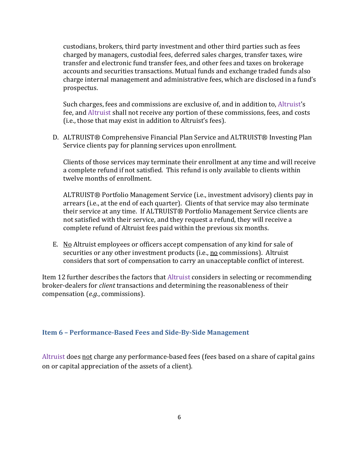custodians, brokers, third party investment and other third parties such as fees charged by managers, custodial fees, deferred sales charges, transfer taxes, wire transfer and electronic fund transfer fees, and other fees and taxes on brokerage accounts and securities transactions. Mutual funds and exchange traded funds also charge internal management and administrative fees, which are disclosed in a fund's prospectus.

Such charges, fees and commissions are exclusive of, and in addition to, Altruist's fee, and Altruist shall not receive any portion of these commissions, fees, and costs (i.e., those that may exist in addition to Altruist's fees).

D. ALTRUIST® Comprehensive Financial Plan Service and ALTRUIST® Investing Plan Service clients pay for planning services upon enrollment.

Clients of those services may terminate their enrollment at any time and will receive a complete refund if not satisfied. This refund is only available to clients within twelve months of enrollment.

ALTRUIST® Portfolio Management Service (i.e., investment advisory) clients pay in arrears (i.e., at the end of each quarter). Clients of that service may also terminate their service at any time. If ALTRUIST® Portfolio Management Service clients are not satisfied with their service, and they request a refund, they will receive a complete refund of Altruist fees paid within the previous six months.

E. No Altruist employees or officers accept compensation of any kind for sale of securities or any other investment products (i.e., no commissions). Altruist considers that sort of compensation to carry an unacceptable conflict of interest.

Item 12 further describes the factors that Altruist considers in selecting or recommending broker-dealers for *client* transactions and determining the reasonableness of their compensation (*e.g.*, commissions).

## **Item 6 – Performance‐Based Fees and Side‐By‐Side Management**

Altruist does not charge any performance-based fees (fees based on a share of capital gains on or capital appreciation of the assets of a client).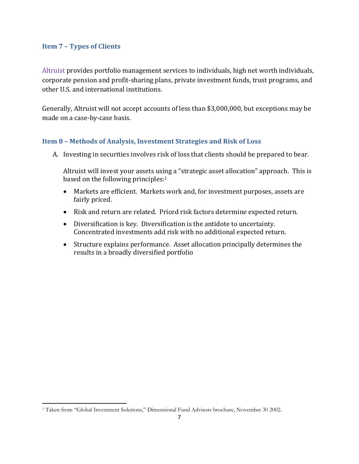## **Item 7 – Types of Clients**

Altruist provides portfolio management services to individuals, high net worth individuals, corporate pension and profit-sharing plans, private investment funds, trust programs, and other U.S. and international institutions.

Generally, Altruist will not accept accounts of less than \$3,000,000, but exceptions may be made on a case-by-case basis.

# **Item 8 – Methods of Analysis, Investment Strategies and Risk of Loss**

A. Investing in securities involves risk of loss that clients should be prepared to bear.

Altruist will invest your assets using a "strategic asset allocation" approach. This is based on the following principles:<sup>1</sup>

- Markets are efficient. Markets work and, for investment purposes, assets are fairly priced.
- Risk and return are related. Priced risk factors determine expected return.
- Diversification is key. Diversification is the antidote to uncertainty. Concentrated investments add risk with no additional expected return.
- Structure explains performance. Asset allocation principally determines the results in a broadly diversified portfolio

<sup>&</sup>lt;sup>1</sup> Taken from "Global Investment Solutions," Dimensional Fund Advisors brochure, November 30 2002.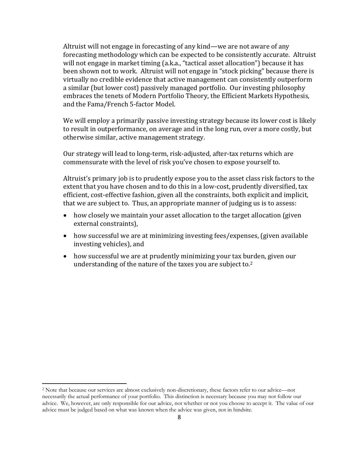Altruist will not engage in forecasting of any kind—we are not aware of any forecasting methodology which can be expected to be consistently accurate. Altruist will not engage in market timing (a.k.a., "tactical asset allocation") because it has been shown not to work. Altruist will not engage in "stock picking" because there is virtually no credible evidence that active management can consistently outperform a similar (but lower cost) passively managed portfolio. Our investing philosophy embraces the tenets of Modern Portfolio Theory, the Efficient Markets Hypothesis, and the Fama/French 5-factor Model.

We will employ a primarily passive investing strategy because its lower cost is likely to result in outperformance, on average and in the long run, over a more costly, but otherwise similar, active management strategy.

Our strategy will lead to long-term, risk-adjusted, after-tax returns which are commensurate with the level of risk you've chosen to expose yourself to.

Altruist's primary job is to prudently expose you to the asset class risk factors to the extent that you have chosen and to do this in a low-cost, prudently diversified, tax efficient, cost-effective fashion, given all the constraints, both explicit and implicit, that we are subject to. Thus, an appropriate manner of judging us is to assess:

- how closely we maintain your asset allocation to the target allocation (given external constraints),
- how successful we are at minimizing investing fees/expenses, (given available investing vehicles), and
- how successful we are at prudently minimizing your tax burden, given our understanding of the nature of the taxes you are subject to.2

<sup>2</sup> Note that because our services are almost exclusively non-discretionary, these factors refer to our advice—not necessarily the actual performance of your portfolio. This distinction is necessary because you may not follow our advice. We, however, are only responsible for our advice, not whether or not you choose to accept it. The value of our advice must be judged based on what was known when the advice was given, not in hindsite.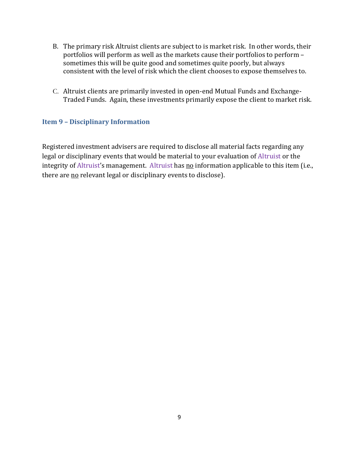- B. The primary risk Altruist clients are subject to is market risk. In other words, their portfolios will perform as well as the markets cause their portfolios to perform – sometimes this will be quite good and sometimes quite poorly, but always consistent with the level of risk which the client chooses to expose themselves to.
- C. Altruist clients are primarily invested in open-end Mutual Funds and Exchange-Traded Funds. Again, these investments primarily expose the client to market risk.

# **Item 9 – Disciplinary Information**

Registered investment advisers are required to disclose all material facts regarding any legal or disciplinary events that would be material to your evaluation of Altruist or the integrity of Altruist's management. Altruist has no information applicable to this item (i.e., there are no relevant legal or disciplinary events to disclose).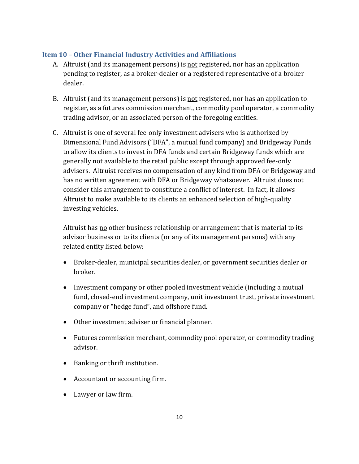# **Item 10 – Other Financial Industry Activities and Affiliations**

- A. Altruist (and its management persons) is not registered, nor has an application pending to register, as a broker-dealer or a registered representative of a broker dealer.
- B. Altruist (and its management persons) is not registered, nor has an application to register, as a futures commission merchant, commodity pool operator, a commodity trading advisor, or an associated person of the foregoing entities.
- C. Altruist is one of several fee-only investment advisers who is authorized by Dimensional Fund Advisors ("DFA", a mutual fund company) and Bridgeway Funds to allow its clients to invest in DFA funds and certain Bridgeway funds which are generally not available to the retail public except through approved fee-only advisers. Altruist receives no compensation of any kind from DFA or Bridgeway and has no written agreement with DFA or Bridgeway whatsoever. Altruist does not consider this arrangement to constitute a conflict of interest. In fact, it allows Altruist to make available to its clients an enhanced selection of high-quality investing vehicles.

Altruist has no other business relationship or arrangement that is material to its advisor business or to its clients (or any of its management persons) with any related entity listed below:

- Broker-dealer, municipal securities dealer, or government securities dealer or broker.
- Investment company or other pooled investment vehicle (including a mutual fund, closed-end investment company, unit investment trust, private investment company or "hedge fund", and offshore fund.
- Other investment adviser or financial planner.
- Futures commission merchant, commodity pool operator, or commodity trading advisor.
- Banking or thrift institution.
- Accountant or accounting firm.
- Lawyer or law firm.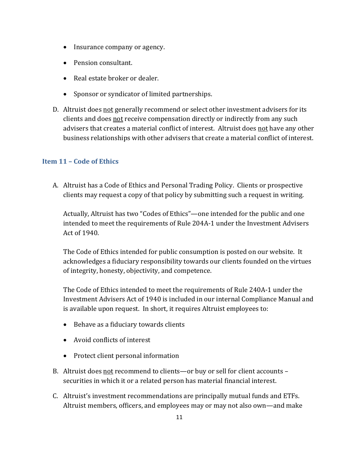- Insurance company or agency.
- Pension consultant.
- Real estate broker or dealer.
- Sponsor or syndicator of limited partnerships.
- D. Altruist does not generally recommend or select other investment advisers for its clients and does not receive compensation directly or indirectly from any such advisers that creates a material conflict of interest. Altruist does not have any other business relationships with other advisers that create a material conflict of interest.

# **Item 11 – Code of Ethics**

A. Altruist has a Code of Ethics and Personal Trading Policy. Clients or prospective clients may request a copy of that policy by submitting such a request in writing.

Actually, Altruist has two "Codes of Ethics"—one intended for the public and one intended to meet the requirements of Rule 204A-1 under the Investment Advisers Act of 1940.

The Code of Ethics intended for public consumption is posted on our website. It acknowledges a fiduciary responsibility towards our clients founded on the virtues of integrity, honesty, objectivity, and competence.

The Code of Ethics intended to meet the requirements of Rule 240A-1 under the Investment Advisers Act of 1940 is included in our internal Compliance Manual and is available upon request. In short, it requires Altruist employees to:

- Behave as a fiduciary towards clients
- Avoid conflicts of interest
- Protect client personal information
- B. Altruist does not recommend to clients—or buy or sell for client accounts securities in which it or a related person has material financial interest.
- C. Altruist's investment recommendations are principally mutual funds and ETFs. Altruist members, officers, and employees may or may not also own—and make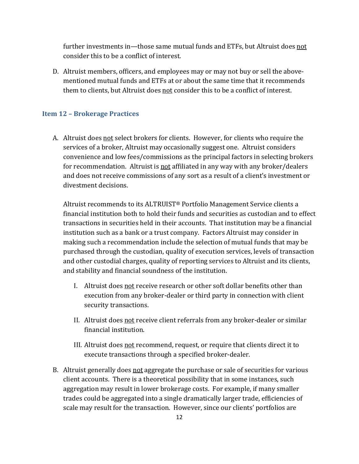further investments in—those same mutual funds and ETFs, but Altruist does not consider this to be a conflict of interest.

D. Altruist members, officers, and employees may or may not buy or sell the abovementioned mutual funds and ETFs at or about the same time that it recommends them to clients, but Altruist does not consider this to be a conflict of interest.

#### **Item 12 – Brokerage Practices**

A. Altruist does not select brokers for clients. However, for clients who require the services of a broker, Altruist may occasionally suggest one. Altruist considers convenience and low fees/commissions as the principal factors in selecting brokers for recommendation. Altruist is not affiliated in any way with any broker/dealers and does not receive commissions of any sort as a result of a client's investment or divestment decisions.

Altruist recommends to its ALTRUIST® Portfolio Management Service clients a financial institution both to hold their funds and securities as custodian and to effect transactions in securities held in their accounts. That institution may be a financial institution such as a bank or a trust company. Factors Altruist may consider in making such a recommendation include the selection of mutual funds that may be purchased through the custodian, quality of execution services, levels of transaction and other custodial charges, quality of reporting services to Altruist and its clients, and stability and financial soundness of the institution.

- I. Altruist does not receive research or other soft dollar benefits other than execution from any broker-dealer or third party in connection with client security transactions.
- II. Altruist does not receive client referrals from any broker-dealer or similar financial institution.
- III. Altruist does not recommend, request, or require that clients direct it to execute transactions through a specified broker-dealer.
- B. Altruist generally does not aggregate the purchase or sale of securities for various client accounts. There is a theoretical possibility that in some instances, such aggregation may result in lower brokerage costs. For example, if many smaller trades could be aggregated into a single dramatically larger trade, efficiencies of scale may result for the transaction. However, since our clients' portfolios are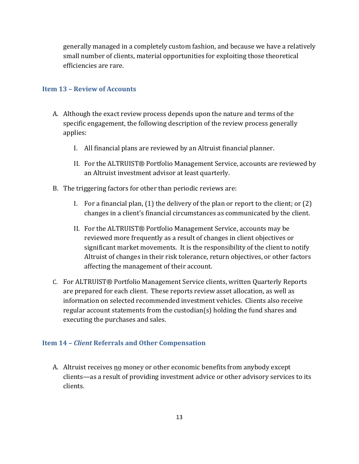generally managed in a completely custom fashion, and because we have a relatively small number of clients, material opportunities for exploiting those theoretical efficiencies are rare.

## **Item 13 – Review of Accounts**

- A. Although the exact review process depends upon the nature and terms of the specific engagement, the following description of the review process generally applies:
	- I. All financial plans are reviewed by an Altruist financial planner.
	- II. For the ALTRUIST® Portfolio Management Service, accounts are reviewed by an Altruist investment advisor at least quarterly.
- B. The triggering factors for other than periodic reviews are:
	- I. For a financial plan, (1) the delivery of the plan or report to the client; or (2) changes in a client's financial circumstances as communicated by the client.
	- II. For the ALTRUIST® Portfolio Management Service, accounts may be reviewed more frequently as a result of changes in client objectives or significant market movements. It is the responsibility of the client to notify Altruist of changes in their risk tolerance, return objectives, or other factors affecting the management of their account.
- C. For ALTRUIST® Portfolio Management Service clients, written Quarterly Reports are prepared for each client. These reports review asset allocation, as well as information on selected recommended investment vehicles. Clients also receive regular account statements from the custodian(s) holding the fund shares and executing the purchases and sales.

# **Item 14 –** *Client* **Referrals and Other Compensation**

A. Altruist receives no money or other economic benefits from anybody except clients—as a result of providing investment advice or other advisory services to its clients.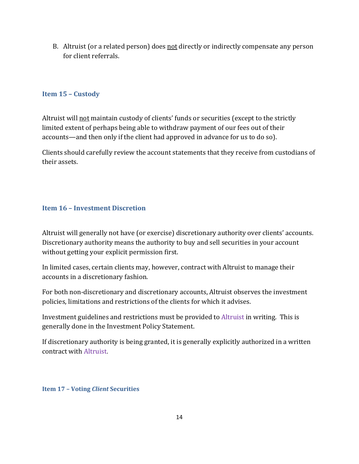B. Altruist (or a related person) does not directly or indirectly compensate any person for client referrals.

# **Item 15 – Custody**

Altruist will not maintain custody of clients' funds or securities (except to the strictly limited extent of perhaps being able to withdraw payment of our fees out of their accounts—and then only if the client had approved in advance for us to do so).

Clients should carefully review the account statements that they receive from custodians of their assets.

# **Item 16 – Investment Discretion**

Altruist will generally not have (or exercise) discretionary authority over clients' accounts. Discretionary authority means the authority to buy and sell securities in your account without getting your explicit permission first.

In limited cases, certain clients may, however, contract with Altruist to manage their accounts in a discretionary fashion.

For both non-discretionary and discretionary accounts, Altruist observes the investment policies, limitations and restrictions of the clients for which it advises.

Investment guidelines and restrictions must be provided to Altruist in writing. This is generally done in the Investment Policy Statement.

If discretionary authority is being granted, it is generally explicitly authorized in a written contract with Altruist.

## **Item 17 – Voting** *Client* **Securities**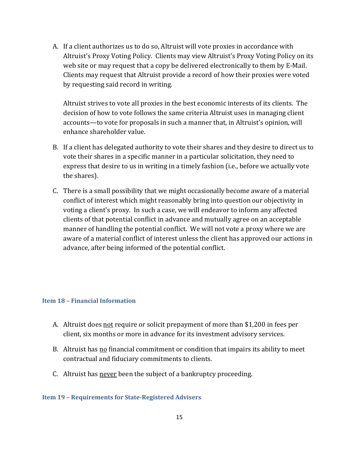A. If a client authorizes us to do so, Altruist will vote proxies in accordance with Altruist's Proxy Voting Policy. Clients may view Altruist's Proxy Voting Policy on its web site or may request that a copy be delivered electronically to them by E-Mail. Clients may request that Altruist provide a record of how their proxies were voted by requesting said record in writing.

Altruist strives to vote all proxies in the best economic interests of its clients. The decision of how to vote follows the same criteria Altruist uses in managing client accounts—to vote for proposals in such a manner that, in Altruist's opinion, will enhance shareholder value.

- B. If a client has delegated authority to vote their shares and they desire to direct us to vote their shares in a specific manner in a particular solicitation, they need to express that desire to us in writing in a timely fashion (i.e., before we actually vote the shares).
- C. There is a small possibility that we might occasionally become aware of a material conflict of interest which might reasonably bring into question our objectivity in voting a client's proxy. In such a case, we will endeavor to inform any affected clients of that potential conflict in advance and mutually agree on an acceptable manner of handling the potential conflict. We will not vote a proxy where we are aware of a material conflict of interest unless the client has approved our actions in advance, after being informed of the potential conflict.

## **Item 18 – Financial Information**

- A. Altruist does not require or solicit prepayment of more than \$1,200 in fees per client, six months or more in advance for its investment advisory services.
- B. Altruist has <u>no</u> financial commitment or condition that impairs its ability to meet contractual and fiduciary commitments to clients.
- C. Altruist has never been the subject of a bankruptcy proceeding.

## **Item 19 – Requirements for State‐Registered Advisers**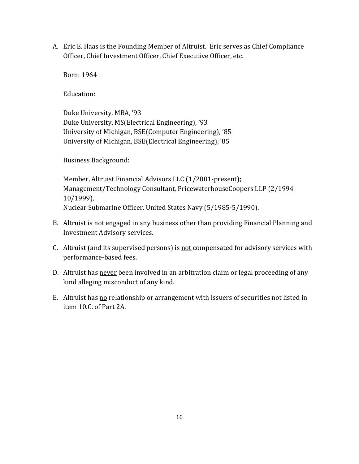A. Eric E. Haas is the Founding Member of Altruist. Eric serves as Chief Compliance Officer, Chief Investment Officer, Chief Executive Officer, etc.

Born: 1964

Education:

Duke University, MBA, '93 Duke University, MS(Electrical Engineering), '93 University of Michigan, BSE(Computer Engineering), '85 University of Michigan, BSE(Electrical Engineering), '85

Business Background:

Member, Altruist Financial Advisors LLC (1/2001-present); Management/Technology Consultant, PricewaterhouseCoopers LLP (2/1994- 10/1999), Nuclear Submarine Officer, United States Navy (5/1985-5/1990).

- B. Altruist is not engaged in any business other than providing Financial Planning and Investment Advisory services.
- C. Altruist (and its supervised persons) is not compensated for advisory services with performance-based fees.
- D. Altruist has never been involved in an arbitration claim or legal proceeding of any kind alleging misconduct of any kind.
- E. Altruist has no relationship or arrangement with issuers of securities not listed in item 10.C. of Part 2A.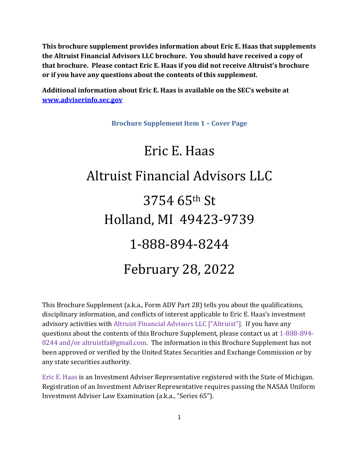**This brochure supplement provides information about Eric E. Haas that supplements the Altruist Financial Advisors LLC brochure. You should have received a copy of that brochure. Please contact Eric E. Haas if you did not receive Altruist's brochure or if you have any questions about the contents of this supplement.**

**Additional information about Eric E. Haas is available on the SEC's website at www.adviserinfo.sec.gov**

**Brochure Supplement Item 1 – Cover Page**

# Eric E. Haas Altruist Financial Advisors LLC 3754 65th St Holland, MI 49423-9739 1-888-894-8244 February 28, 2022

This Brochure Supplement (a.k.a., Form ADV Part 2B) tells you about the qualifications, disciplinary information, and conflicts of interest applicable to Eric E. Haas's investment advisory activities with Altruist Financial Advisors LLC ["Altruist"]. If you have any questions about the contents of this Brochure Supplement, please contact us at 1-888-894- 8244 and/or altruistfa@gmail.com. The information in this Brochure Supplement has not been approved or verified by the United States Securities and Exchange Commission or by any state securities authority.

Eric E. Haas is an Investment Adviser Representative registered with the State of Michigan. Registration of an Investment Adviser Representative requires passing the NASAA Uniform Investment Adviser Law Examination (a.k.a., "Series 65").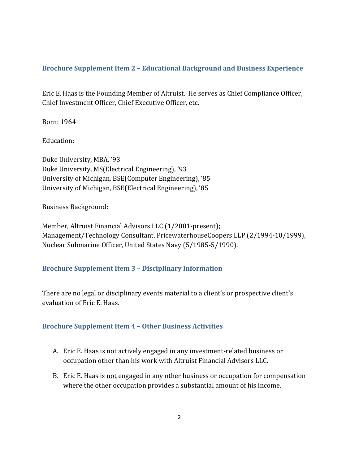# **Brochure Supplement Item 2 – Educational Background and Business Experience**

Eric E. Haas is the Founding Member of Altruist. He serves as Chief Compliance Officer, Chief Investment Officer, Chief Executive Officer, etc.

Born: 1964

Education:

Duke University, MBA, '93 Duke University, MS(Electrical Engineering), '93 University of Michigan, BSE(Computer Engineering), '85 University of Michigan, BSE(Electrical Engineering), '85

Business Background:

Member, Altruist Financial Advisors LLC (1/2001-present); Management/Technology Consultant, PricewaterhouseCoopers LLP (2/1994-10/1999), Nuclear Submarine Officer, United States Navy (5/1985-5/1990).

# **Brochure Supplement Item 3 – Disciplinary Information**

There are no legal or disciplinary events material to a client's or prospective client's evaluation of Eric E. Haas.

# **Brochure Supplement Item 4 – Other Business Activities**

- A. Eric E. Haas is not actively engaged in any investment-related business or occupation other than his work with Altruist Financial Advisors LLC.
- B. Eric E. Haas is not engaged in any other business or occupation for compensation where the other occupation provides a substantial amount of his income.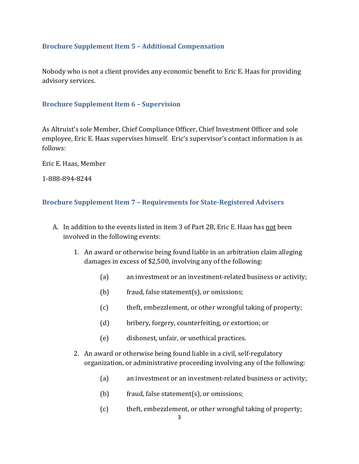# **Brochure Supplement Item 5 – Additional Compensation**

Nobody who is not a client provides any economic benefit to Eric E. Haas for providing advisory services.

## **Brochure Supplement Item 6 – Supervision**

As Altruist's sole Member, Chief Compliance Officer, Chief Investment Officer and sole employee, Eric E. Haas supervises himself. Eric's supervisor's contact information is as follows:

Eric E. Haas, Member

1-888-894-8244

## **Brochure Supplement Item 7 – Requirements for State‐Registered Advisers**

- A. In addition to the events listed in item 3 of Part 2B, Eric E. Haas has not been involved in the following events:
	- 1. An award or otherwise being found liable in an arbitration claim alleging damages in excess of \$2,500, involving any of the following:
		- (a) an investment or an investment-related business or activity;
		- (b) fraud, false statement(s), or omissions;
		- (c) theft, embezzlement, or other wrongful taking of property;
		- (d) bribery, forgery, counterfeiting, or extortion; or
		- (e) dishonest, unfair, or unethical practices.
	- 2. An award or otherwise being found liable in a civil, self-regulatory organization, or administrative proceeding involving any of the following:
		- (a) an investment or an investment-related business or activity;
		- $(b)$  fraud, false statement $(s)$ , or omissions;
		- (c) theft, embezzlement, or other wrongful taking of property;